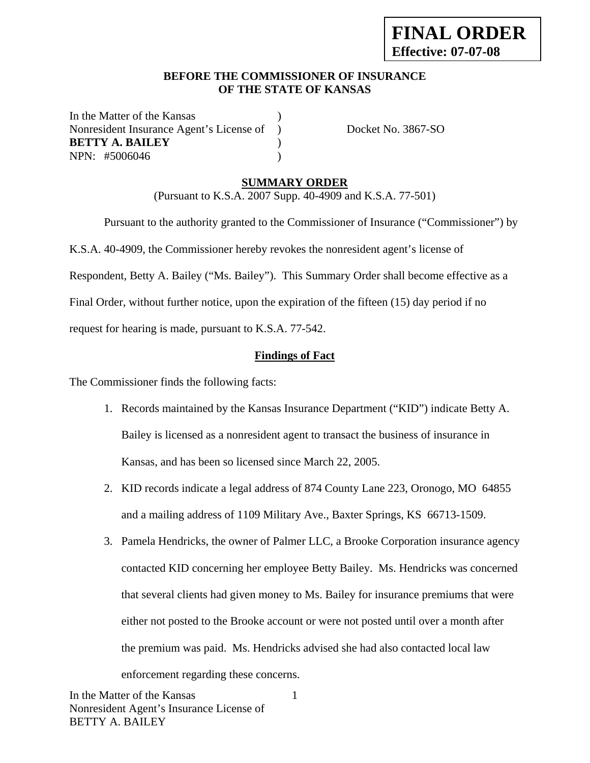### **BEFORE THE COMMISSIONER OF INSURANCE OF THE STATE OF KANSAS**

In the Matter of the Kansas Nonresident Insurance Agent's License of ) Docket No. 3867-SO **BETTY A. BAILEY** ) NPN: #5006046 )

### **SUMMARY ORDER**

(Pursuant to K.S.A. 2007 Supp. 40-4909 and K.S.A. 77-501)

 Pursuant to the authority granted to the Commissioner of Insurance ("Commissioner") by K.S.A. 40-4909, the Commissioner hereby revokes the nonresident agent's license of Respondent, Betty A. Bailey ("Ms. Bailey"). This Summary Order shall become effective as a Final Order, without further notice, upon the expiration of the fifteen (15) day period if no request for hearing is made, pursuant to K.S.A. 77-542.

### **Findings of Fact**

The Commissioner finds the following facts:

- 1. Records maintained by the Kansas Insurance Department ("KID") indicate Betty A. Bailey is licensed as a nonresident agent to transact the business of insurance in Kansas, and has been so licensed since March 22, 2005.
- 2. KID records indicate a legal address of 874 County Lane 223, Oronogo, MO 64855 and a mailing address of 1109 Military Ave., Baxter Springs, KS 66713-1509.
- 3. Pamela Hendricks, the owner of Palmer LLC, a Brooke Corporation insurance agency contacted KID concerning her employee Betty Bailey. Ms. Hendricks was concerned that several clients had given money to Ms. Bailey for insurance premiums that were either not posted to the Brooke account or were not posted until over a month after the premium was paid. Ms. Hendricks advised she had also contacted local law enforcement regarding these concerns.

1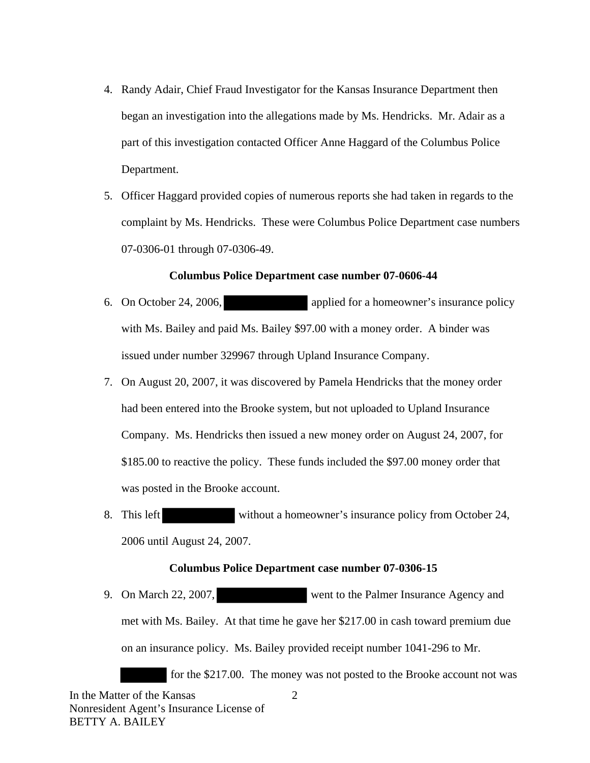- 4. Randy Adair, Chief Fraud Investigator for the Kansas Insurance Department then began an investigation into the allegations made by Ms. Hendricks. Mr. Adair as a part of this investigation contacted Officer Anne Haggard of the Columbus Police Department.
- 5. Officer Haggard provided copies of numerous reports she had taken in regards to the complaint by Ms. Hendricks. These were Columbus Police Department case numbers 07-0306-01 through 07-0306-49.

#### **Columbus Police Department case number 07-0606-44**

- 6. On October 24, 2006, applied for a homeowner's insurance policy with Ms. Bailey and paid Ms. Bailey \$97.00 with a money order. A binder was issued under number 329967 through Upland Insurance Company.
- 7. On August 20, 2007, it was discovered by Pamela Hendricks that the money order had been entered into the Brooke system, but not uploaded to Upland Insurance Company. Ms. Hendricks then issued a new money order on August 24, 2007, for \$185.00 to reactive the policy. These funds included the \$97.00 money order that was posted in the Brooke account.
- 8. This left without a homeowner's insurance policy from October 24, 2006 until August 24, 2007.

#### **Columbus Police Department case number 07-0306-15**

9. On March 22, 2007, went to the Palmer Insurance Agency and met with Ms. Bailey. At that time he gave her \$217.00 in cash toward premium due on an insurance policy. Ms. Bailey provided receipt number 1041-296 to Mr.

for the \$217.00. The money was not posted to the Brooke account not was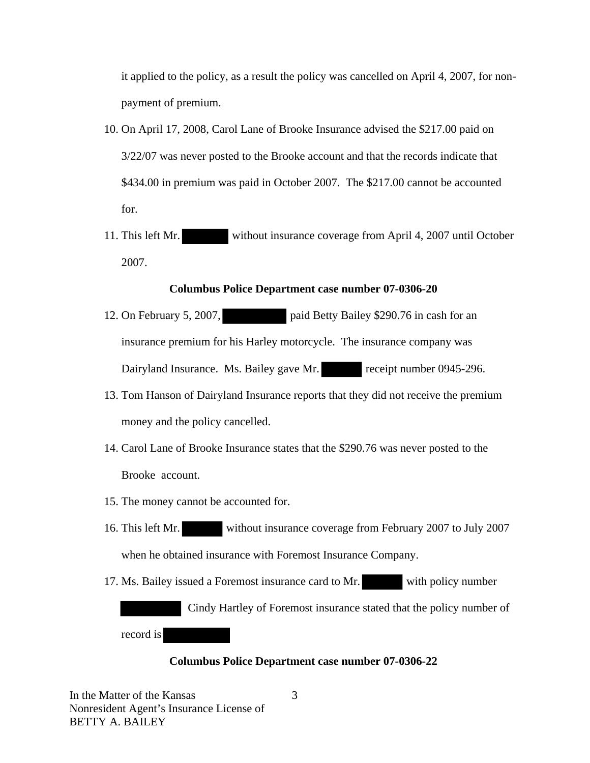it applied to the policy, as a result the policy was cancelled on April 4, 2007, for nonpayment of premium.

- 10. On April 17, 2008, Carol Lane of Brooke Insurance advised the \$217.00 paid on 3/22/07 was never posted to the Brooke account and that the records indicate that \$434.00 in premium was paid in October 2007. The \$217.00 cannot be accounted for.
- 11. This left Mr. without insurance coverage from April 4, 2007 until October 2007.

#### **Columbus Police Department case number 07-0306-20**

- 12. On February 5, 2007, paid Betty Bailey \$290.76 in cash for an insurance premium for his Harley motorcycle. The insurance company was Dairyland Insurance. Ms. Bailey gave Mr. receipt number 0945-296.
- 13. Tom Hanson of Dairyland Insurance reports that they did not receive the premium money and the policy cancelled.
- 14. Carol Lane of Brooke Insurance states that the \$290.76 was never posted to the Brooke account.
- 15. The money cannot be accounted for.
- 16. This left Mr. without insurance coverage from February 2007 to July 2007 when he obtained insurance with Foremost Insurance Company.
- 17. Ms. Bailey issued a Foremost insurance card to Mr. with policy number

 Cindy Hartley of Foremost insurance stated that the policy number of record is

#### **Columbus Police Department case number 07-0306-22**

In the Matter of the Kansas Nonresident Agent's Insurance License of BETTY A. BAILEY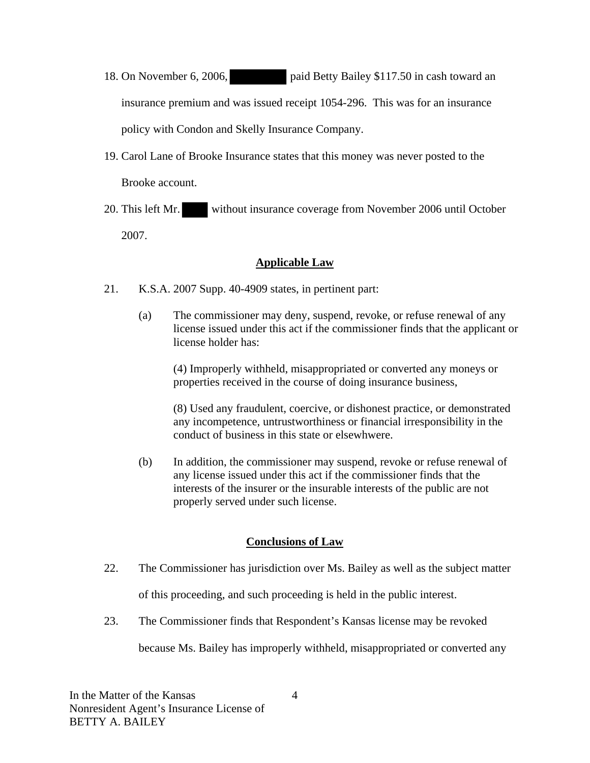- 18. On November 6, 2006, paid Betty Bailey \$117.50 in cash toward an insurance premium and was issued receipt 1054-296. This was for an insurance policy with Condon and Skelly Insurance Company.
- 19. Carol Lane of Brooke Insurance states that this money was never posted to the Brooke account.
- 20. This left Mr. without insurance coverage from November 2006 until October 2007.

## **Applicable Law**

- 21. K.S.A. 2007 Supp. 40-4909 states, in pertinent part:
	- (a) The commissioner may deny, suspend, revoke, or refuse renewal of any license issued under this act if the commissioner finds that the applicant or license holder has:

(4) Improperly withheld, misappropriated or converted any moneys or properties received in the course of doing insurance business,

(8) Used any fraudulent, coercive, or dishonest practice, or demonstrated any incompetence, untrustworthiness or financial irresponsibility in the conduct of business in this state or elsewhwere.

(b) In addition, the commissioner may suspend, revoke or refuse renewal of any license issued under this act if the commissioner finds that the interests of the insurer or the insurable interests of the public are not properly served under such license.

## **Conclusions of Law**

22. The Commissioner has jurisdiction over Ms. Bailey as well as the subject matter

of this proceeding, and such proceeding is held in the public interest.

23. The Commissioner finds that Respondent's Kansas license may be revoked

because Ms. Bailey has improperly withheld, misappropriated or converted any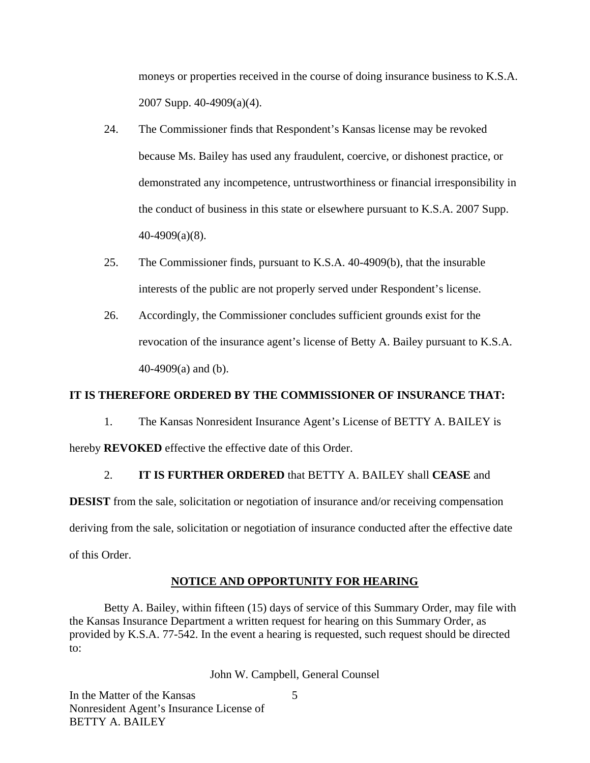moneys or properties received in the course of doing insurance business to K.S.A. 2007 Supp. 40-4909(a)(4).

- 24. The Commissioner finds that Respondent's Kansas license may be revoked because Ms. Bailey has used any fraudulent, coercive, or dishonest practice, or demonstrated any incompetence, untrustworthiness or financial irresponsibility in the conduct of business in this state or elsewhere pursuant to K.S.A. 2007 Supp. 40-4909(a)(8).
- 25. The Commissioner finds, pursuant to K.S.A. 40-4909(b), that the insurable interests of the public are not properly served under Respondent's license.
- 26. Accordingly, the Commissioner concludes sufficient grounds exist for the revocation of the insurance agent's license of Betty A. Bailey pursuant to K.S.A. 40-4909(a) and (b).

### **IT IS THEREFORE ORDERED BY THE COMMISSIONER OF INSURANCE THAT:**

1. The Kansas Nonresident Insurance Agent's License of BETTY A. BAILEY is

hereby **REVOKED** effective the effective date of this Order.

## 2. **IT IS FURTHER ORDERED** that BETTY A. BAILEY shall **CEASE** and

**DESIST** from the sale, solicitation or negotiation of insurance and/or receiving compensation deriving from the sale, solicitation or negotiation of insurance conducted after the effective date of this Order.

## **NOTICE AND OPPORTUNITY FOR HEARING**

Betty A. Bailey, within fifteen (15) days of service of this Summary Order, may file with the Kansas Insurance Department a written request for hearing on this Summary Order, as provided by K.S.A. 77-542. In the event a hearing is requested, such request should be directed to:

John W. Campbell, General Counsel

In the Matter of the Kansas Nonresident Agent's Insurance License of BETTY A. BAILEY

5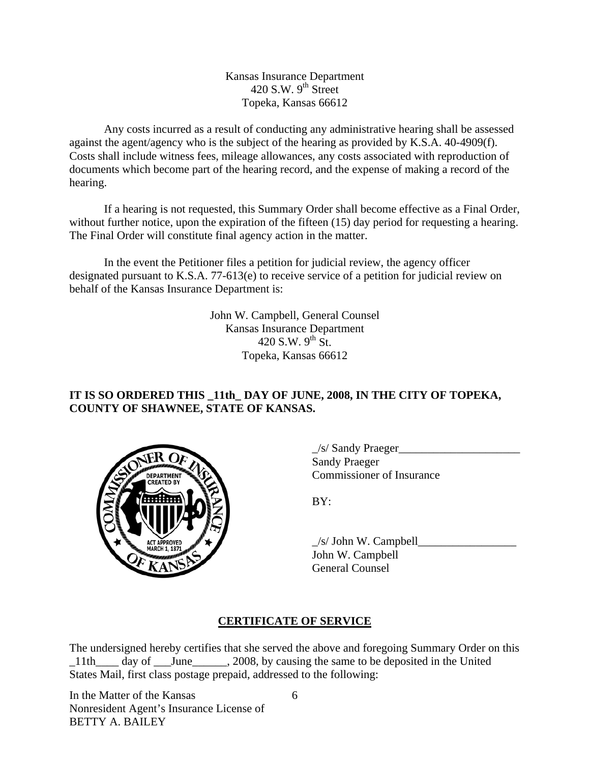Kansas Insurance Department 420 S.W.  $9^{th}$  Street Topeka, Kansas 66612

Any costs incurred as a result of conducting any administrative hearing shall be assessed against the agent/agency who is the subject of the hearing as provided by K.S.A. 40-4909(f). Costs shall include witness fees, mileage allowances, any costs associated with reproduction of documents which become part of the hearing record, and the expense of making a record of the hearing.

If a hearing is not requested, this Summary Order shall become effective as a Final Order, without further notice, upon the expiration of the fifteen (15) day period for requesting a hearing. The Final Order will constitute final agency action in the matter.

In the event the Petitioner files a petition for judicial review, the agency officer designated pursuant to K.S.A. 77-613(e) to receive service of a petition for judicial review on behalf of the Kansas Insurance Department is:

> John W. Campbell, General Counsel Kansas Insurance Department 420 S.W.  $9^{th}$  St. Topeka, Kansas 66612

## **IT IS SO ORDERED THIS \_11th\_ DAY OF JUNE, 2008, IN THE CITY OF TOPEKA, COUNTY OF SHAWNEE, STATE OF KANSAS.**



 $\angle$ s/ Sandy Praeger $\angle$  Sandy Praeger EPARTMENT VON COmmissioner of Insurance

 $\angle$ s/ John W. Campbell John W. Campbell General Counsel

# **CERTIFICATE OF SERVICE**

The undersigned hereby certifies that she served the above and foregoing Summary Order on this \_11th\_\_\_\_ day of \_\_\_June\_\_\_\_\_\_, 2008, by causing the same to be deposited in the United States Mail, first class postage prepaid, addressed to the following:

In the Matter of the Kansas Nonresident Agent's Insurance License of BETTY A. BAILEY

6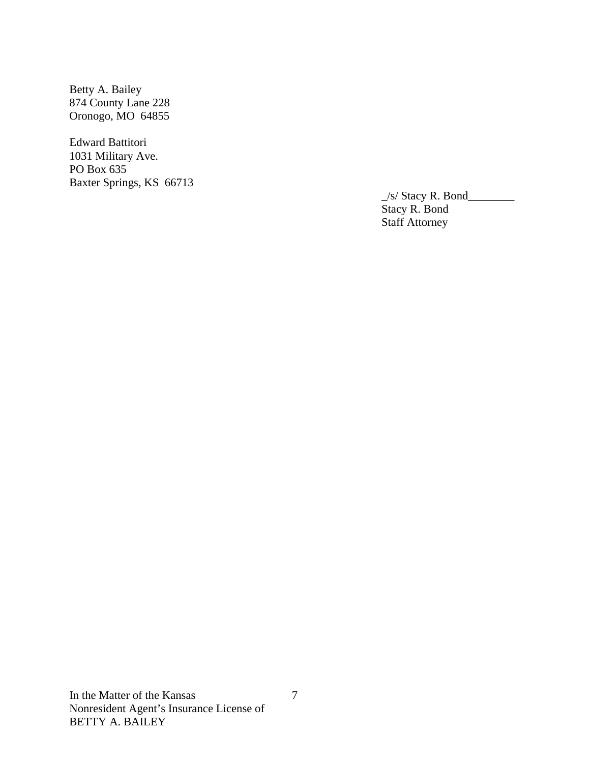Betty A. Bailey 874 County Lane 228 Oronogo, MO 64855

Edward Battitori 1031 Military Ave. PO Box 635 Baxter Springs, KS 66713

 $\angle$ s/ Stacy R. Bond $\angle$  Stacy R. Bond Staff Attorney